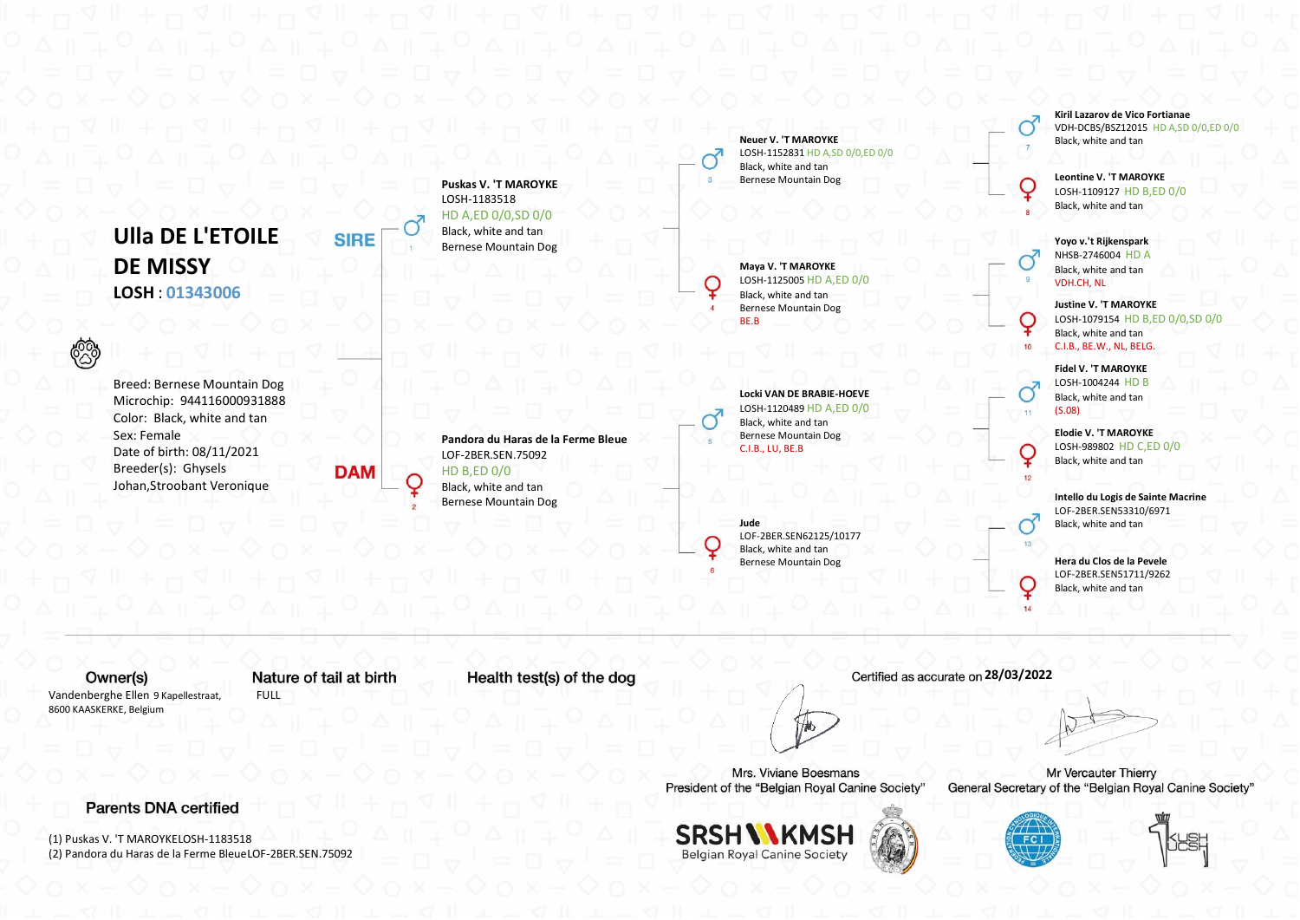**Ulla DE L'ETOILE DE MISSY LOSH** : **01343006**

Breed: Bernese Mountain Dog Microchip: 944116000931888 Color: Black, white and tan Sex: Female Date of birth: 08/11/2021 Breeder(s): Ghysels Johan,Stroobant Veronique

**Puskas V. 'T MAROYKE** LOSH-1183518 HD A,ED 0/0,SD 0/0 Black, white and tan Bernese Mountain Dog

**Neuer V. 'T MAROYKE** LOSH-1152831 HD A,SD 0/0,ED 0/0 Black, white and tan Bernese Mountain Dog

**Maya V. 'T MAROYKE** LOSH-1125005 HD A,ED 0/0 Black, white and tan Bernese Mountain Dog BE.B

⊋

**Locki VAN DE BRABIE-HOEVE** LOSH-1120489 HD A,ED 0/0 Black, white and tan Bernese Mountain Dog C.I.B., LU, BE.B

**Jude** LOF-2BER.SEN62125/10177 Black, white and tan Bernese Mountain Dog

**Kiril Lazarov de Vico Fortianae** VDH-DCBS/BSZ12015 HD A,SD 0/0,ED 0/0 Black, white and tan

**Leontine V. 'T MAROYKE** LOSH-1109127 HD B,ED 0/0 Black, white and tan

**Yoyo v.'t Rijkenspark** NHSB-2746004 HD A Black, white and tan VDH.CH, NL

**Justine V. 'T MAROYKE** LOSH-1079154 HD B,ED 0/0,SD 0/0 Black, white and tan C.I.B., BE.W., NL, BELG.

**Fidel V. 'T MAROYKE** LOSH-1004244 HD B Black, white and tan (S.08)

 $10$ 

i da

Ç

 $12$ 

**Elodie V. 'T MAROYKE** LOSH-989802 HD C,ED 0/0 Black, white and tan

**Intello du Logis de Sainte Macrine** LOF-2BER.SEN53310/6971 Black, white and tan

**Hera du Clos de la Pevele** LOF-2BER.SEN51711/9262 Black, white and tan

Owner(s) Vandenberghe Ellen 9 Kapellestraat, 8600 KAASKERKE, Belgium

ි

Nature of tail at birth FULL

**SIRE** 

**DAM** 

Health test(s) of the dog

**Pandora du Haras de la Ferme Bleue**

LOF-2BER.SEN.75092 HD B,ED 0/0 Black, white and tan Bernese Mountain Dog

Mrs. Viviane Boesmans President of the "Belgian Royal Canine Society"



 **28/03/2022**



Mr Vercauter Thierry General Secretary of the "Belgian Royal Canine Society"





**Parents DNA certified** 

(1) Puskas V. 'T MAROYKELOSH-1183518 (2) Pandora du Haras de la Ferme BleueLOF-2BER.SEN.75092